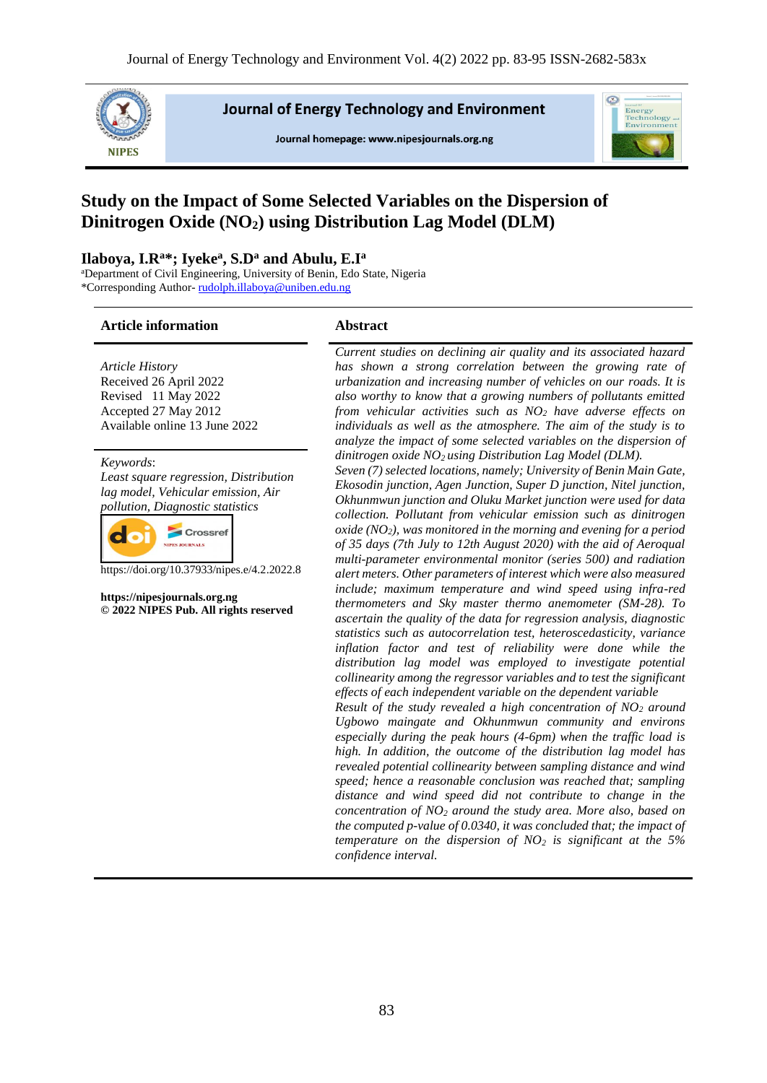

**Journal of Energy Technology and Environment** 

Journal homepage: www.nipesjournals.org.ng



# **Study on the Impact of Some Selected Variables on the Dispersion of Dinitrogen Oxide (NO2) using Distribution Lag Model (DLM)**

#### **Ilaboya, I.R<sup>a</sup>\*; Iyeke<sup>a</sup> , S.D<sup>a</sup> and Abulu, E.I<sup>a</sup>**

<sup>a</sup>Department of Civil Engineering, University of Benin, Edo State, Nigeria \*Corresponding Author- [rudolph.illaboya@uniben.edu.ng](mailto:rudolph.illaboya@uniben.edu.ng)

#### **Article information Abstract**

*Article History* Received 26 April 2022 Revised 11 May 2022 Accepted 27 May 2012 Available online 13 June 2022

*Keywords*: *Least square regression, Distribution lag model, Vehicular emission, Air pollution, Diagnostic statistics*



https://doi.org/10.37933/nipes.e/4.2.2022.8

**https://nipesjournals.org.ng © 2022 NIPES Pub. All rights reserved**

*Current studies on declining air quality and its associated hazard has shown a strong correlation between the growing rate of urbanization and increasing number of vehicles on our roads. It is also worthy to know that a growing numbers of pollutants emitted from vehicular activities such as NO<sup>2</sup> have adverse effects on individuals as well as the atmosphere. The aim of the study is to analyze the impact of some selected variables on the dispersion of dinitrogen oxide NO2 using Distribution Lag Model (DLM).*

*Seven (7) selected locations, namely; University of Benin Main Gate, Ekosodin junction, Agen Junction, Super D junction, Nitel junction, Okhunmwun junction and Oluku Market junction were used for data collection. Pollutant from vehicular emission such as dinitrogen oxide (NO2), was monitored in the morning and evening for a period of 35 days (7th July to 12th August 2020) with the aid of Aeroqual multi-parameter environmental monitor (series 500) and radiation alert meters. Other parameters of interest which were also measured include; maximum temperature and wind speed using infra-red thermometers and Sky master thermo anemometer (SM-28). To ascertain the quality of the data for regression analysis, diagnostic statistics such as autocorrelation test, heteroscedasticity, variance inflation factor and test of reliability were done while the distribution lag model was employed to investigate potential collinearity among the regressor variables and to test the significant effects of each independent variable on the dependent variable*

*Result of the study revealed a high concentration of NO<sup>2</sup> around Ugbowo maingate and Okhunmwun community and environs especially during the peak hours (4-6pm) when the traffic load is high. In addition, the outcome of the distribution lag model has revealed potential collinearity between sampling distance and wind speed; hence a reasonable conclusion was reached that; sampling distance and wind speed did not contribute to change in the concentration of NO<sup>2</sup> around the study area. More also, based on the computed p-value of 0.0340, it was concluded that; the impact of temperature on the dispersion of NO<sup>2</sup> is significant at the 5% confidence interval.*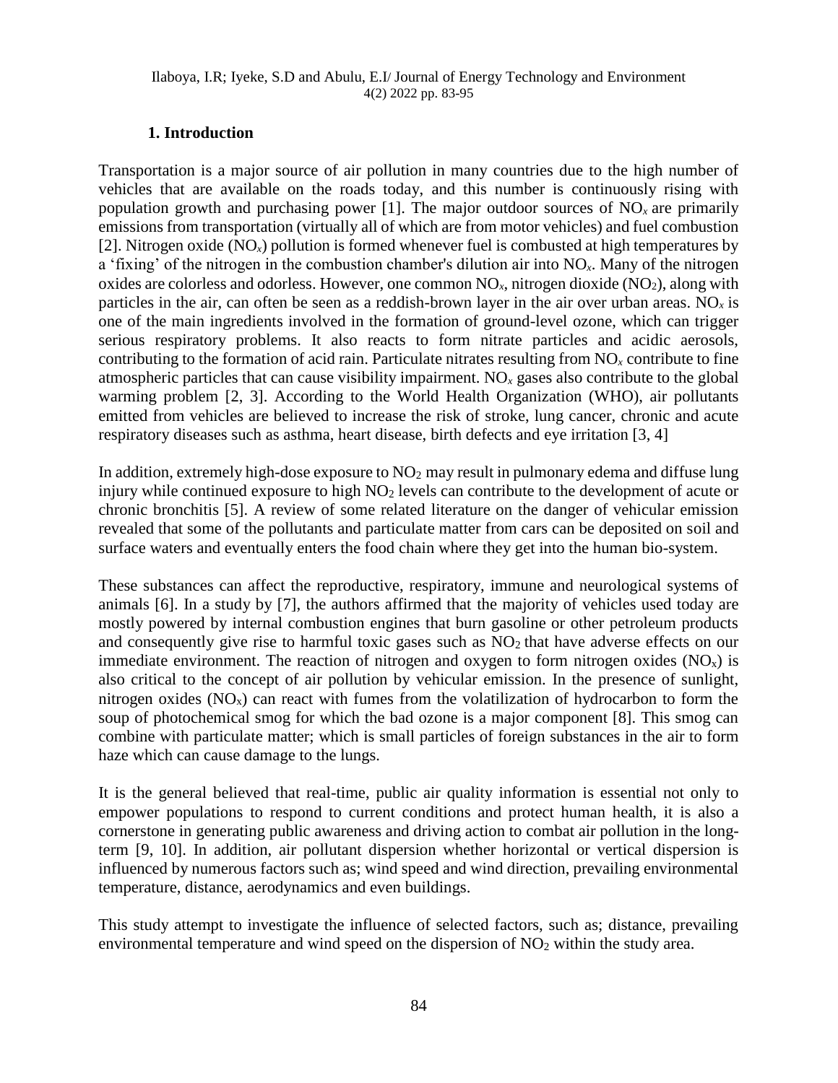## **1. Introduction**

Transportation is a major source of air pollution in many countries due to the high number of vehicles that are available on the roads today, and this number is continuously rising with population growth and purchasing power [1]. The major outdoor sources of  $NO<sub>x</sub>$  are primarily emissions from transportation (virtually all of which are from motor vehicles) and fuel combustion [2]. Nitrogen oxide  $(NO_x)$  pollution is formed whenever fuel is combusted at high temperatures by a 'fixing' of the nitrogen in the combustion chamber's dilution air into NO*x*. Many of the nitrogen oxides are colorless and odorless. However, one common  $NO<sub>x</sub>$ , nitrogen dioxide  $(NO<sub>2</sub>)$ , along with particles in the air, can often be seen as a reddish-brown layer in the air over urban areas. NO*<sup>x</sup>* is one of the main ingredients involved in the formation of ground-level ozone, which can trigger serious respiratory problems. It also reacts to form nitrate particles and acidic aerosols, contributing to the formation of acid rain. Particulate nitrates resulting from NO*<sup>x</sup>* contribute to fine atmospheric particles that can cause visibility impairment. NO*<sup>x</sup>* gases also contribute to the global warming problem [2, 3]. According to the World Health Organization (WHO), air pollutants emitted from vehicles are believed to increase the risk of stroke, lung cancer, chronic and acute respiratory diseases such as asthma, heart disease, birth defects and eye irritation [3, 4]

In addition, extremely high-dose exposure to  $NO<sub>2</sub>$  may result in pulmonary edema and diffuse lung injury while continued exposure to high  $NO<sub>2</sub>$  levels can contribute to the development of acute or chronic bronchitis [5]. A review of some related literature on the danger of vehicular emission revealed that some of the pollutants and particulate matter from cars can be deposited on soil and surface waters and eventually enters the food chain where they get into the human bio-system.

These substances can affect the reproductive, respiratory, immune and neurological systems of animals [6]. In a study by [7], the authors affirmed that the majority of vehicles used today are mostly powered by internal combustion engines that burn gasoline or other petroleum products and consequently give rise to harmful toxic gases such as  $NO<sub>2</sub>$  that have adverse effects on our immediate environment. The reaction of nitrogen and oxygen to form nitrogen oxides  $(NO<sub>x</sub>)$  is also critical to the concept of air pollution by vehicular emission. In the presence of sunlight, nitrogen oxides  $(NO<sub>x</sub>)$  can react with fumes from the volatilization of hydrocarbon to form the soup of photochemical smog for which the bad ozone is a major component [8]. This smog can combine with particulate matter; which is small particles of foreign substances in the air to form haze which can cause damage to the lungs.

It is the general believed that real-time, public air quality information is essential not only to empower populations to respond to current conditions and protect human health, it is also a cornerstone in generating public awareness and driving action to combat air pollution in the longterm [9, 10]. In addition, air pollutant dispersion whether horizontal or vertical dispersion is influenced by numerous factors such as; wind speed and wind direction, prevailing environmental temperature, distance, aerodynamics and even buildings.

This study attempt to investigate the influence of selected factors, such as; distance, prevailing environmental temperature and wind speed on the dispersion of  $NO<sub>2</sub>$  within the study area.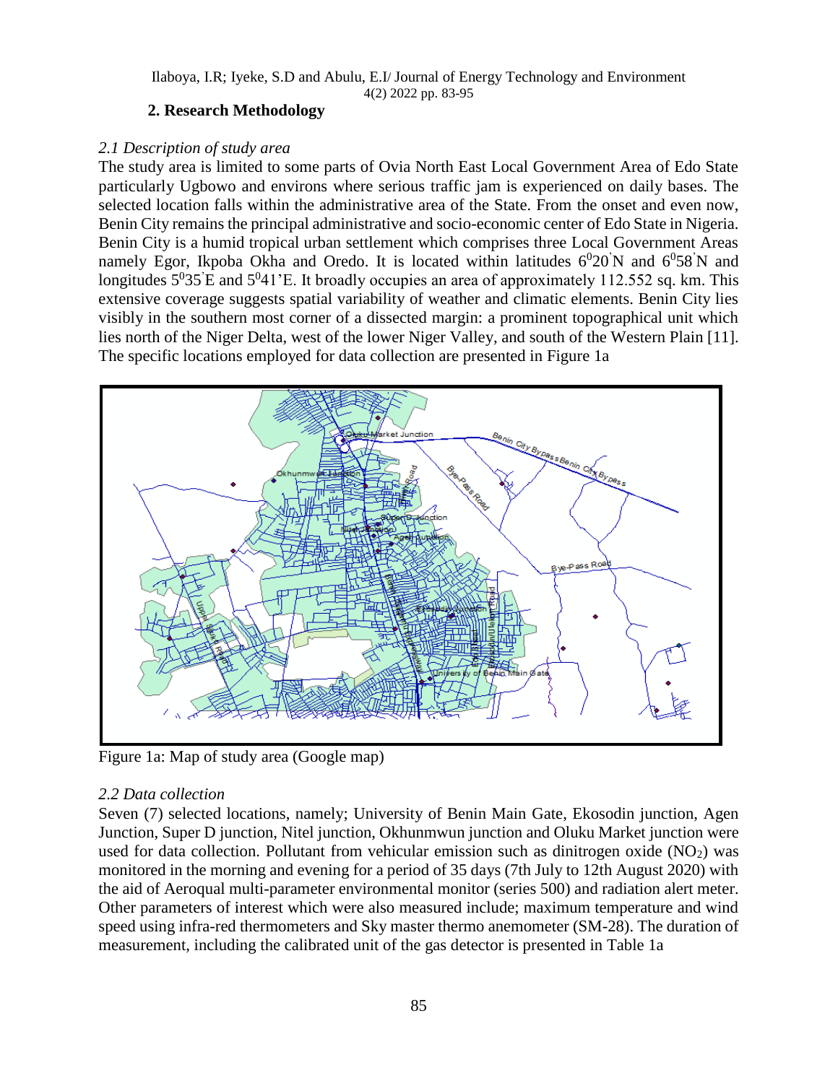## **2. Research Methodology**

## *2.1 Description of study area*

The study area is limited to some parts of Ovia North East Local Government Area of Edo State particularly Ugbowo and environs where serious traffic jam is experienced on daily bases. The selected location falls within the administrative area of the State. From the onset and even now, Benin City remains the principal administrative and socio-economic center of Edo State in Nigeria. Benin City is a humid tropical urban settlement which comprises three Local Government Areas namely Egor, Ikpoba Okha and Oredo. It is located within latitudes  $6^020'N$  and  $6^058'N$  and longitudes  $5^035$  E and  $5^041$  E. It broadly occupies an area of approximately 112.552 sq. km. This extensive coverage suggests spatial variability of weather and climatic elements. Benin City lies visibly in the southern most corner of a dissected margin: a prominent topographical unit which lies north of the Niger Delta, west of the lower Niger Valley, and south of the Western Plain [11]. The specific locations employed for data collection are presented in Figure 1a



Figure 1a: Map of study area (Google map)

## *2.2 Data collection*

Seven (7) selected locations, namely; University of Benin Main Gate, Ekosodin junction, Agen Junction, Super D junction, Nitel junction, Okhunmwun junction and Oluku Market junction were used for data collection. Pollutant from vehicular emission such as dinitrogen oxide  $(NO<sub>2</sub>)$  was monitored in the morning and evening for a period of 35 days (7th July to 12th August 2020) with the aid of Aeroqual multi-parameter environmental monitor (series 500) and radiation alert meter. Other parameters of interest which were also measured include; maximum temperature and wind speed using infra-red thermometers and Sky master thermo anemometer (SM-28). The duration of measurement, including the calibrated unit of the gas detector is presented in Table 1a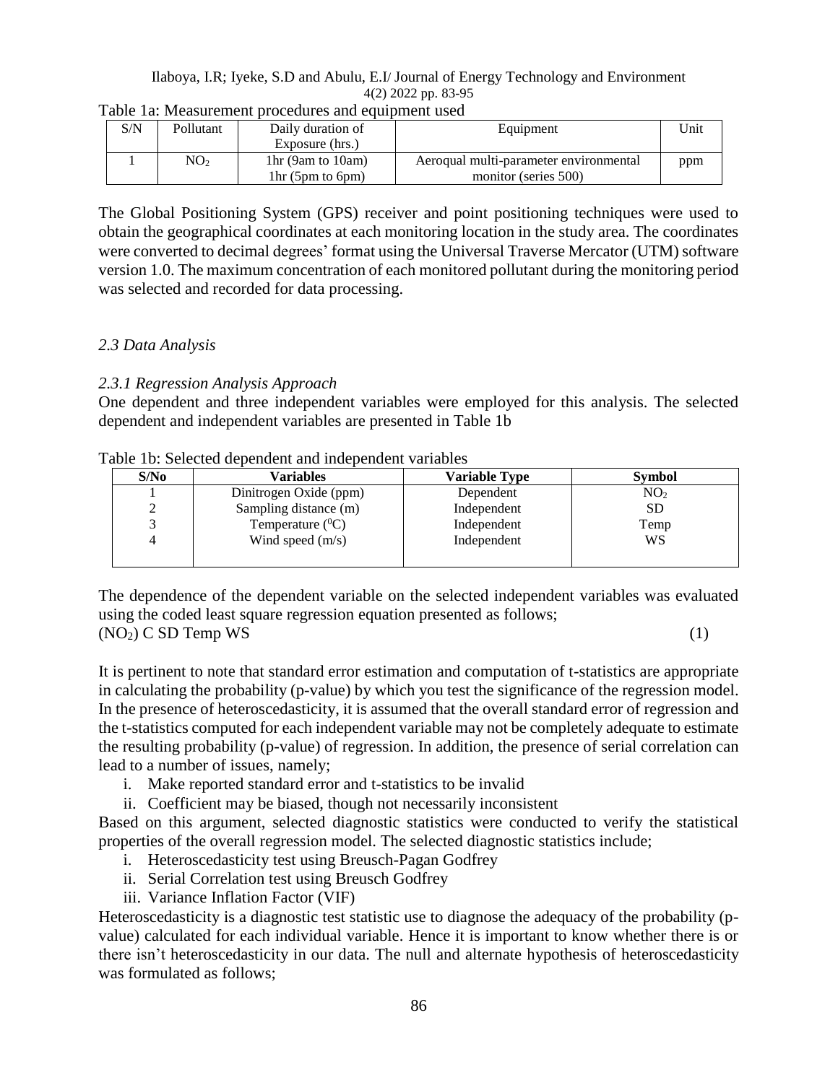| S/N | Pollutant       | Daily duration of  | Equipment                              | <sup>1</sup> Jnit |
|-----|-----------------|--------------------|----------------------------------------|-------------------|
|     |                 | Exposure (hrs.)    |                                        |                   |
|     | NO <sub>2</sub> | 1hr (9am to 10am)  | Aeroqual multi-parameter environmental | ppm               |
|     |                 | $1hr$ (5pm to 6pm) | monitor (series 500)                   |                   |

The Global Positioning System (GPS) receiver and point positioning techniques were used to obtain the geographical coordinates at each monitoring location in the study area. The coordinates were converted to decimal degrees' format using the Universal Traverse Mercator (UTM) software version 1.0. The maximum concentration of each monitored pollutant during the monitoring period was selected and recorded for data processing.

## *2.3 Data Analysis*

## *2.3.1 Regression Analysis Approach*

One dependent and three independent variables were employed for this analysis. The selected dependent and independent variables are presented in Table 1b

| Table 1b: Selected dependent and independent variables |
|--------------------------------------------------------|
|--------------------------------------------------------|

| S/N <sub>0</sub> | <b>Variables</b>       | <b>Variable Type</b> | <b>Symbol</b>   |
|------------------|------------------------|----------------------|-----------------|
|                  | Dinitrogen Oxide (ppm) | Dependent            | NO <sub>2</sub> |
|                  | Sampling distance (m)  | Independent          | <b>SD</b>       |
|                  | Temperature $(^0C)$    | Independent          | Temp            |
|                  | Wind speed $(m/s)$     | Independent          | WS              |
|                  |                        |                      |                 |

The dependence of the dependent variable on the selected independent variables was evaluated using the coded least square regression equation presented as follows;  $(NO<sub>2</sub>)$  C SD Temp WS (1)

It is pertinent to note that standard error estimation and computation of t-statistics are appropriate in calculating the probability (p-value) by which you test the significance of the regression model. In the presence of heteroscedasticity, it is assumed that the overall standard error of regression and the t-statistics computed for each independent variable may not be completely adequate to estimate the resulting probability (p-value) of regression. In addition, the presence of serial correlation can lead to a number of issues, namely;

- i. Make reported standard error and t-statistics to be invalid
- ii. Coefficient may be biased, though not necessarily inconsistent

Based on this argument, selected diagnostic statistics were conducted to verify the statistical properties of the overall regression model. The selected diagnostic statistics include;

- i. Heteroscedasticity test using Breusch-Pagan Godfrey
- ii. Serial Correlation test using Breusch Godfrey
- iii. Variance Inflation Factor (VIF)

Heteroscedasticity is a diagnostic test statistic use to diagnose the adequacy of the probability (pvalue) calculated for each individual variable. Hence it is important to know whether there is or there isn't heteroscedasticity in our data. The null and alternate hypothesis of heteroscedasticity was formulated as follows;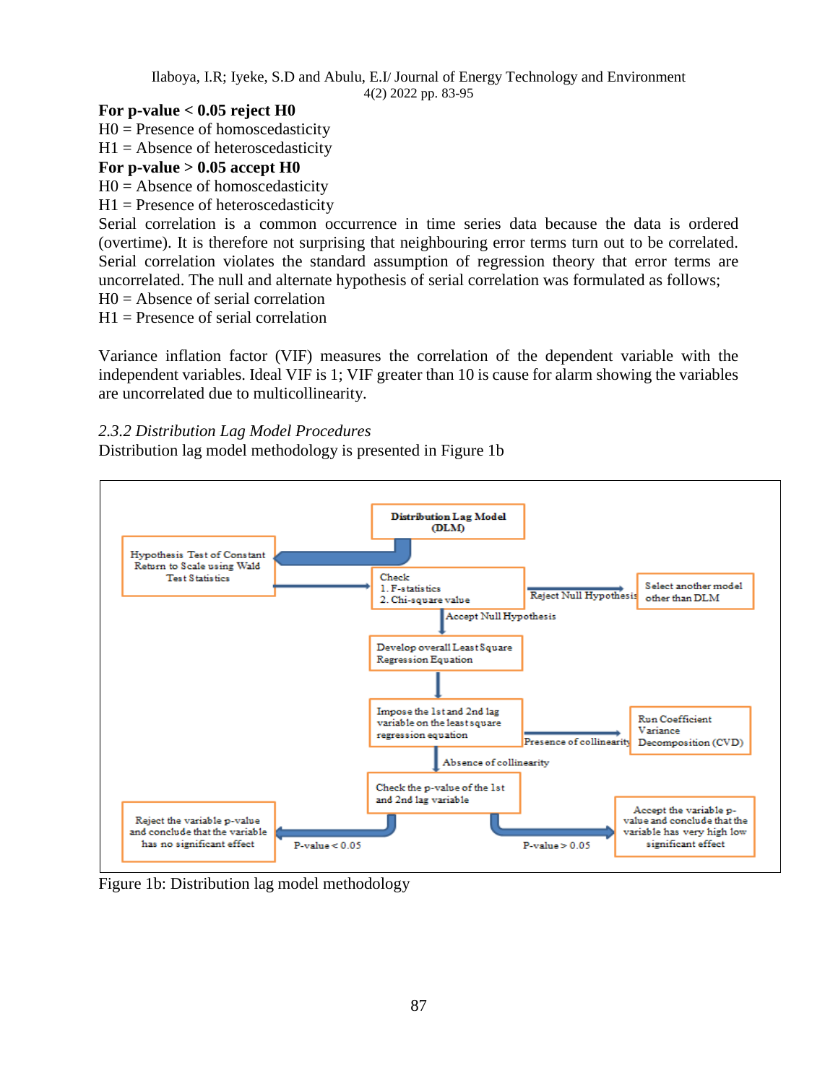## **For p-value < 0.05 reject H0**

- $H0$  = Presence of homoscedasticity
- $H1 =$  Absence of heteroscedasticity

### **For p-value > 0.05 accept H0**

- $H0 =$  Absence of homoscedasticity
- $H1$  = Presence of heteroscedasticity

Serial correlation is a common occurrence in time series data because the data is ordered (overtime). It is therefore not surprising that neighbouring error terms turn out to be correlated. Serial correlation violates the standard assumption of regression theory that error terms are uncorrelated. The null and alternate hypothesis of serial correlation was formulated as follows;

 $H0 =$  Absence of serial correlation

 $H1$  = Presence of serial correlation

Variance inflation factor (VIF) measures the correlation of the dependent variable with the independent variables. Ideal VIF is 1; VIF greater than 10 is cause for alarm showing the variables are uncorrelated due to multicollinearity.

*2.3.2 Distribution Lag Model Procedures*

Distribution lag model methodology is presented in Figure 1b



Figure 1b: Distribution lag model methodology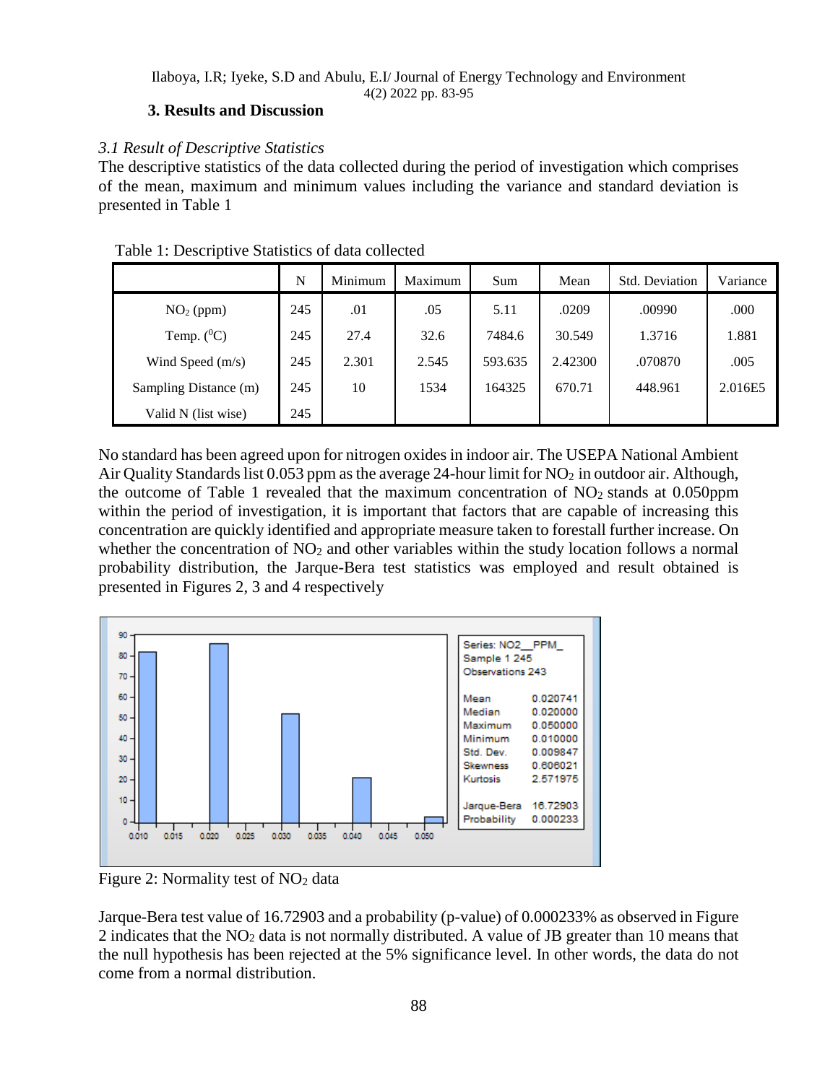## **3. Results and Discussion**

# *3.1 Result of Descriptive Statistics*

The descriptive statistics of the data collected during the period of investigation which comprises of the mean, maximum and minimum values including the variance and standard deviation is presented in Table 1

|                       | N   | Minimum | Maximum | Sum     | Mean    | <b>Std. Deviation</b> | Variance |
|-----------------------|-----|---------|---------|---------|---------|-----------------------|----------|
| $NO2$ (ppm)           | 245 | .01     | .05     | 5.11    | .0209   | .00990                | .000     |
| Temp. $(^0C)$         | 245 | 27.4    | 32.6    | 7484.6  | 30.549  | 1.3716                | 1.881    |
| Wind Speed $(m/s)$    | 245 | 2.301   | 2.545   | 593.635 | 2.42300 | .070870               | .005     |
| Sampling Distance (m) | 245 | 10      | 1534    | 164325  | 670.71  | 448.961               | 2.016E5  |
| Valid N (list wise)   | 245 |         |         |         |         |                       |          |

## Table 1: Descriptive Statistics of data collected

No standard has been agreed upon for nitrogen oxides in indoor air. The USEPA National Ambient Air Quality Standards list 0.053 ppm as the average 24-hour limit for NO<sub>2</sub> in outdoor air. Although, the outcome of Table 1 revealed that the maximum concentration of  $NO<sub>2</sub>$  stands at 0.050ppm within the period of investigation, it is important that factors that are capable of increasing this concentration are quickly identified and appropriate measure taken to forestall further increase. On whether the concentration of  $NO<sub>2</sub>$  and other variables within the study location follows a normal probability distribution, the Jarque-Bera test statistics was employed and result obtained is presented in Figures 2, 3 and 4 respectively



Figure 2: Normality test of  $NO<sub>2</sub>$  data

Jarque-Bera test value of 16.72903 and a probability (p-value) of 0.000233% as observed in Figure 2 indicates that the NO<sup>2</sup> data is not normally distributed. A value of JB greater than 10 means that the null hypothesis has been rejected at the 5% significance level. In other words, the data do not come from a normal distribution.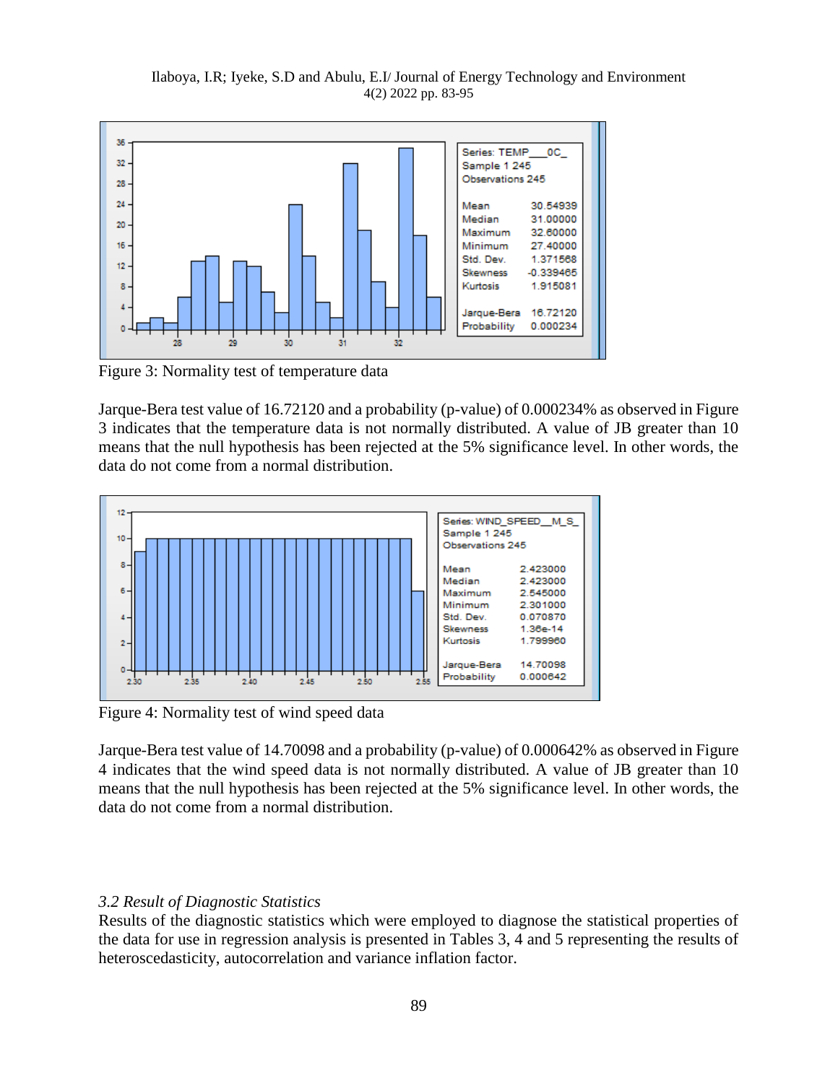Ilaboya, I.R; Iyeke, S.D and Abulu, E.I/ Journal of Energy Technology and Environment 4(2) 2022 pp. 83-95



Figure 3: Normality test of temperature data

Jarque-Bera test value of 16.72120 and a probability (p-value) of 0.000234% as observed in Figure 3 indicates that the temperature data is not normally distributed. A value of JB greater than 10 means that the null hypothesis has been rejected at the 5% significance level. In other words, the data do not come from a normal distribution.



Figure 4: Normality test of wind speed data

Jarque-Bera test value of 14.70098 and a probability (p-value) of 0.000642% as observed in Figure 4 indicates that the wind speed data is not normally distributed. A value of JB greater than 10 means that the null hypothesis has been rejected at the 5% significance level. In other words, the data do not come from a normal distribution.

#### *3.2 Result of Diagnostic Statistics*

Results of the diagnostic statistics which were employed to diagnose the statistical properties of the data for use in regression analysis is presented in Tables 3, 4 and 5 representing the results of heteroscedasticity, autocorrelation and variance inflation factor.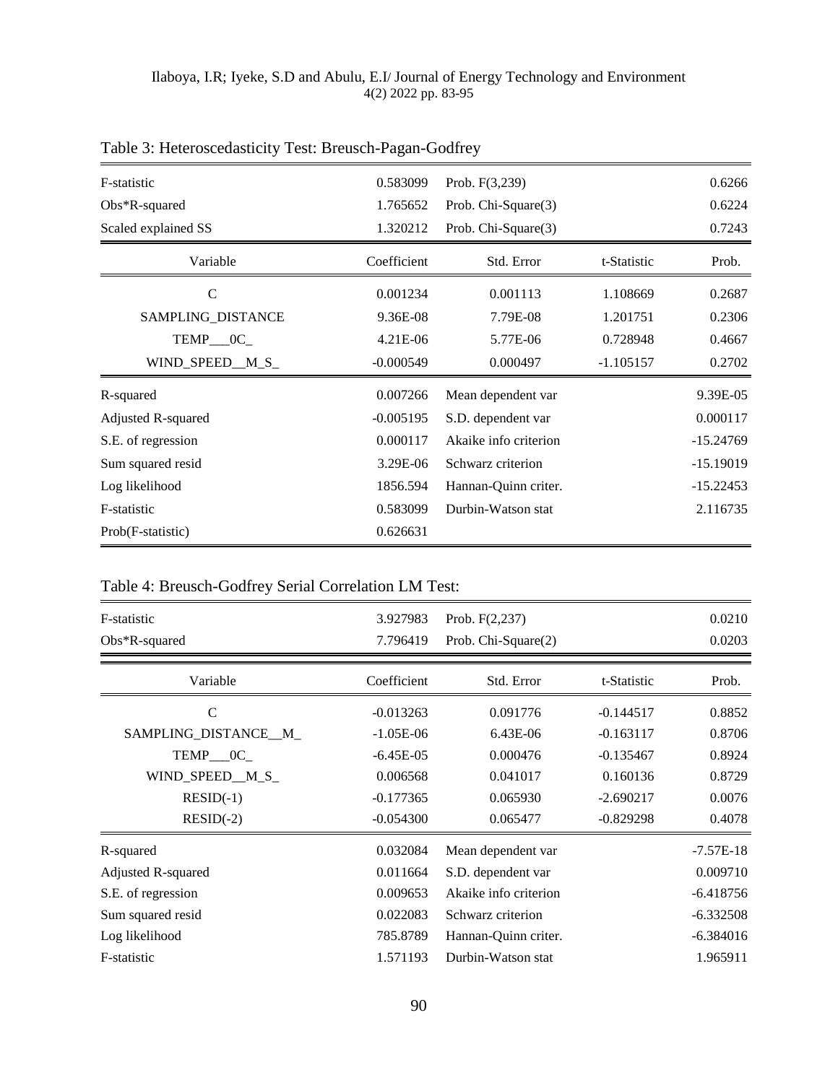| F-statistic         | 0.583099    | Prob. F(3,239)        |             | 0.6266      |
|---------------------|-------------|-----------------------|-------------|-------------|
| $Obs*R$ -squared    | 1.765652    | Prob. Chi-Square(3)   |             | 0.6224      |
| Scaled explained SS | 1.320212    | Prob. Chi-Square(3)   |             | 0.7243      |
| Variable            | Coefficient | Std. Error            | t-Statistic | Prob.       |
| C                   | 0.001234    | 0.001113              | 1.108669    | 0.2687      |
| SAMPLING_DISTANCE   | 9.36E-08    | 7.79E-08              | 1.201751    | 0.2306      |
| TEMP___0C_          | $4.21E-06$  | 5.77E-06              | 0.728948    | 0.4667      |
| WIND_SPEED_M_S_     | $-0.000549$ | 0.000497              | $-1.105157$ | 0.2702      |
| R-squared           | 0.007266    | Mean dependent var    |             | 9.39E-05    |
| Adjusted R-squared  | $-0.005195$ | S.D. dependent var    |             | 0.000117    |
| S.E. of regression  | 0.000117    | Akaike info criterion |             | $-15.24769$ |
| Sum squared resid   | 3.29E-06    | Schwarz criterion     |             | $-15.19019$ |
| Log likelihood      | 1856.594    | Hannan-Quinn criter.  |             | $-15.22453$ |
| F-statistic         | 0.583099    | Durbin-Watson stat    |             | 2.116735    |
| Prob(F-statistic)   | 0.626631    |                       |             |             |

# Table 3: Heteroscedasticity Test: Breusch-Pagan-Godfrey

# Table 4: Breusch-Godfrey Serial Correlation LM Test:

| F-statistic<br>Obs*R-squared | 3.927983<br>7.796419 | Prob. $F(2,237)$<br>Prob. Chi-Square(2) |             | 0.0210<br>0.0203 |
|------------------------------|----------------------|-----------------------------------------|-------------|------------------|
| Variable                     | Coefficient          | Std. Error                              | t-Statistic | Prob.            |
| C                            | $-0.013263$          | 0.091776                                | $-0.144517$ | 0.8852           |
| SAMPLING_DISTANCE__M_        | $-1.05E-06$          | $6.43E-06$                              | $-0.163117$ | 0.8706           |
| $TEMP$ <sub>_0</sub> C_      | $-6.45E-05$          | 0.000476                                | $-0.135467$ | 0.8924           |
| WIND_SPEED__M_S_             | 0.006568             | 0.041017                                | 0.160136    | 0.8729           |
| $RESID(-1)$                  | $-0.177365$          | 0.065930                                | $-2.690217$ | 0.0076           |
| $RESID(-2)$                  | $-0.054300$          | 0.065477                                | $-0.829298$ | 0.4078           |
| R-squared                    | 0.032084             | Mean dependent var                      |             | $-7.57E-18$      |
| Adjusted R-squared           | 0.011664             | S.D. dependent var                      |             | 0.009710         |
| S.E. of regression           | 0.009653             | Akaike info criterion                   |             | $-6.418756$      |
| Sum squared resid            | 0.022083             | Schwarz criterion                       |             | $-6.332508$      |
| Log likelihood               | 785.8789             | Hannan-Quinn criter.                    |             | $-6.384016$      |
| F-statistic                  | 1.571193             | Durbin-Watson stat                      |             | 1.965911         |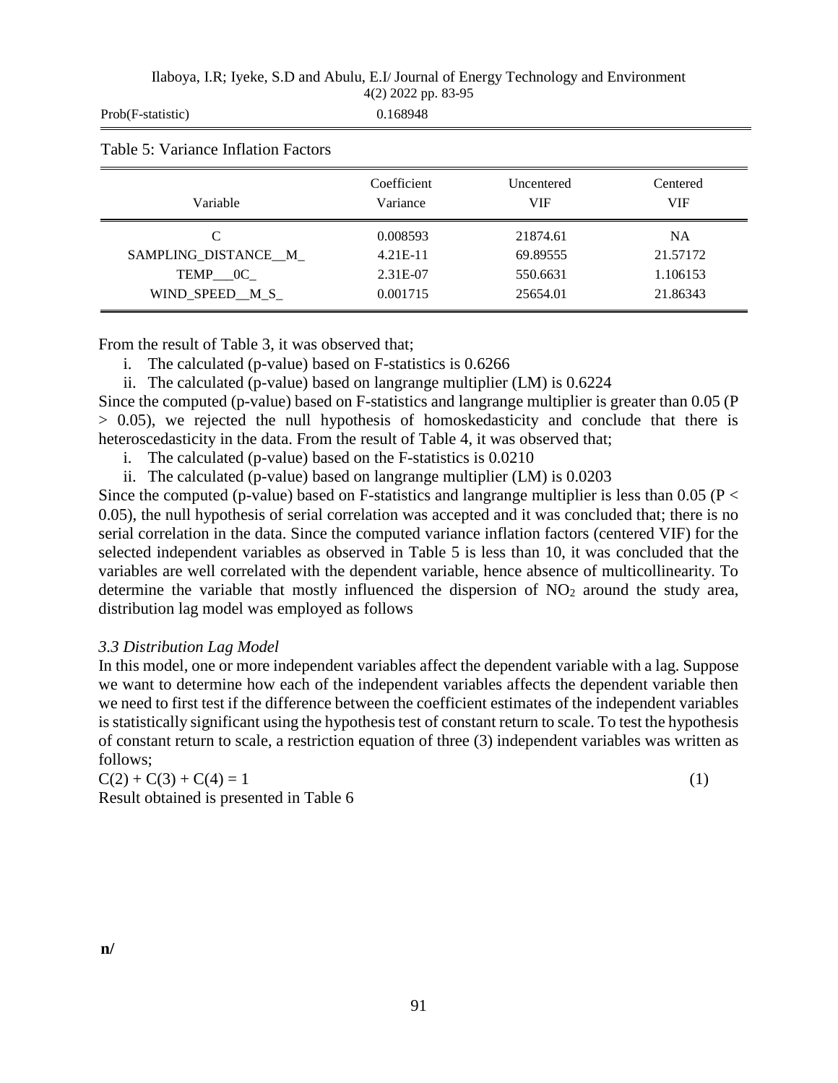| Ilaboya, I.R; Iyeke, S.D and Abulu, E.I/ Journal of Energy Technology and Environment |  |
|---------------------------------------------------------------------------------------|--|
| $4(2)$ 2022 pp. 83-95                                                                 |  |

| Prob(F-statistic)                   | 0.168948                |                          |                        |
|-------------------------------------|-------------------------|--------------------------|------------------------|
| Table 5: Variance Inflation Factors |                         |                          |                        |
| Variable                            | Coefficient<br>Variance | Uncentered<br><b>VIF</b> | Centered<br><b>VIF</b> |
| C                                   | 0.008593                | 21874.61                 | <b>NA</b>              |
| SAMPLING_DISTANCE__M_               | $4.21E-11$              | 69.89555                 | 21.57172               |
| $TEMP$ $OC$                         | 2.31E-07                | 550.6631                 | 1.106153               |
| WIND_SPEED_M_S_                     | 0.001715                | 25654.01                 | 21.86343               |

From the result of Table 3, it was observed that;

i. The calculated (p-value) based on F-statistics is 0.6266

ii. The calculated (p-value) based on langrange multiplier (LM) is 0.6224

Since the computed (p-value) based on F-statistics and langrange multiplier is greater than 0.05 (P > 0.05), we rejected the null hypothesis of homoskedasticity and conclude that there is heteroscedasticity in the data. From the result of Table 4, it was observed that;

i. The calculated (p-value) based on the F-statistics is 0.0210

ii. The calculated (p-value) based on langrange multiplier (LM) is 0.0203

Since the computed (p-value) based on F-statistics and langrange multiplier is less than 0.05 ( $P <$ 0.05), the null hypothesis of serial correlation was accepted and it was concluded that; there is no serial correlation in the data. Since the computed variance inflation factors (centered VIF) for the selected independent variables as observed in Table 5 is less than 10, it was concluded that the variables are well correlated with the dependent variable, hence absence of multicollinearity. To determine the variable that mostly influenced the dispersion of  $NO<sub>2</sub>$  around the study area, distribution lag model was employed as follows

## *3.3 Distribution Lag Model*

In this model, one or more independent variables affect the dependent variable with a lag. Suppose we want to determine how each of the independent variables affects the dependent variable then we need to first test if the difference between the coefficient estimates of the independent variables is statistically significant using the hypothesis test of constant return to scale. To test the hypothesis of constant return to scale, a restriction equation of three (3) independent variables was written as follows;

 $C(2) + C(3) + C(4) = 1$  (1) Result obtained is presented in Table 6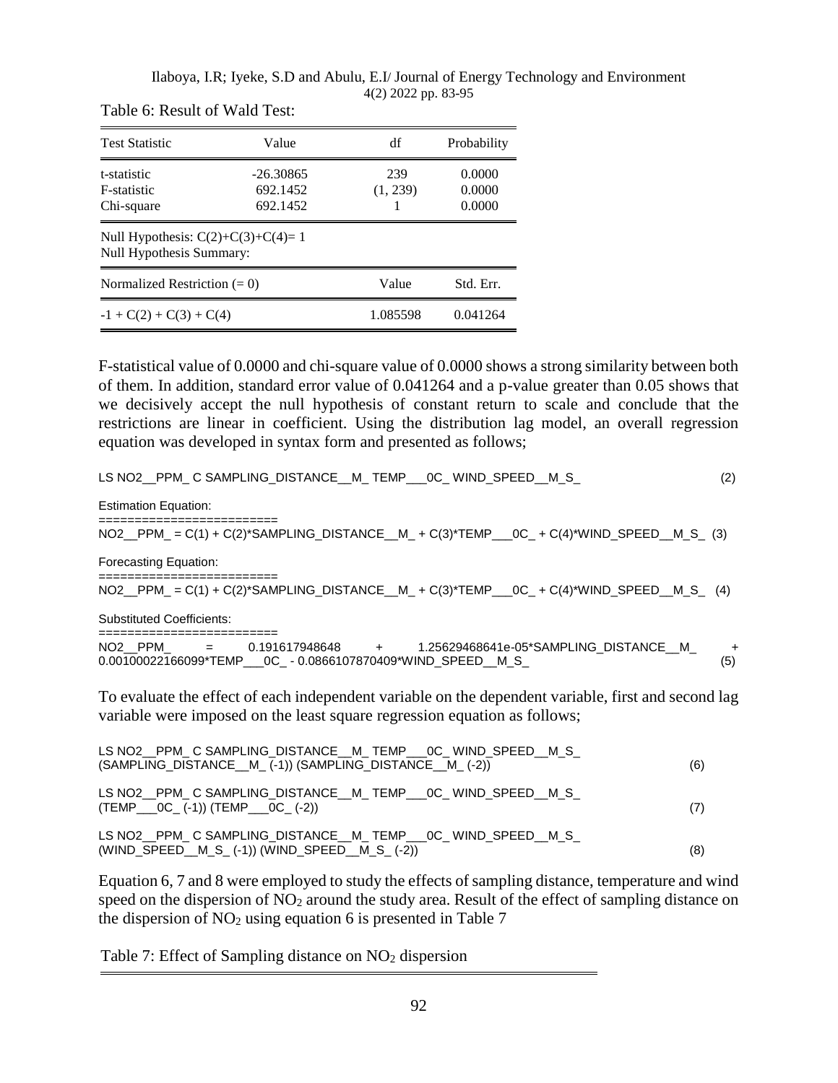| <b>Test Statistic</b>                                           | Value                               | df              | Probability                |
|-----------------------------------------------------------------|-------------------------------------|-----------------|----------------------------|
| t-statistic<br>F-statistic<br>Chi-square                        | $-26.30865$<br>692.1452<br>692.1452 | 239<br>(1, 239) | 0.0000<br>0.0000<br>0.0000 |
| Null Hypothesis: $C(2)+C(3)+C(4)=1$<br>Null Hypothesis Summary: |                                     |                 |                            |
| Normalized Restriction $(= 0)$                                  |                                     | Value           | Std. Err.                  |
| $-1 + C(2) + C(3) + C(4)$                                       |                                     | 1.085598        | 0.041264                   |

Table 6: Result of Wald Test:

F-statistical value of 0.0000 and chi-square value of 0.0000 shows a strong similarity between both of them. In addition, standard error value of 0.041264 and a p-value greater than 0.05 shows that we decisively accept the null hypothesis of constant return to scale and conclude that the restrictions are linear in coefficient. Using the distribution lag model, an overall regression equation was developed in syntax form and presented as follows;

| LS NO2 PPM_C SAMPLING_DISTANCE __ M_ TEMP___0C_ WIND_SPEED __ M_S_                                                                    | (2)        |
|---------------------------------------------------------------------------------------------------------------------------------------|------------|
| <b>Estimation Equation:</b>                                                                                                           |            |
| NO2_PPM_ = C(1) + C(2)*SAMPLING_DISTANCE__M_ + C(3)*TEMP___0C_ + C(4)*WIND_SPEED__M_S_ (3)                                            |            |
| <b>Forecasting Equation:</b>                                                                                                          |            |
| ;=======================<br>NO2_PPM_=C(1)+C(2)*SAMPLING_DISTANCE_M_+C(3)*TEMP__0C_+C(4)*WIND_SPEED_M_S_(4)                            |            |
| <b>Substituted Coefficients:</b><br>;=======================                                                                          |            |
| NO2 PPM = 0.191617948648 + 1.25629468641e-05*SAMPLING_DISTANCE_M<br>$0.00100022166099*TEMP$ $0.02$ - $0.0866107870409*WIND$ SPEED M S | $+$<br>(5) |
| To evaluate the effect of each independent variable on the dependent variable, first and second lag                                   |            |

variable were imposed on the least square regression equation as follows;

| LS NO2 PPM C SAMPLING DISTANCE M TEMP OC WIND SPEED M S<br>(SAMPLING DISTANCE M (-1)) (SAMPLING DISTANCE M (-2)) | (6) |
|------------------------------------------------------------------------------------------------------------------|-----|
| LS NO2 PPM C SAMPLING DISTANCE M TEMP OC WIND SPEED M S<br>$(TEMP \tOC (-1)) (TEMP \tOC (-2))$                   | (7) |
| LS NO2 PPM C SAMPLING DISTANCE M TEMP OC WIND SPEED M S<br>(WIND_SPEED__M_S_(-1)) (WIND_SPEED__M_S_(-2))         | (8) |

Equation 6, 7 and 8 were employed to study the effects of sampling distance, temperature and wind speed on the dispersion of NO<sub>2</sub> around the study area. Result of the effect of sampling distance on the dispersion of  $NO<sub>2</sub>$  using equation 6 is presented in Table 7

Table 7: Effect of Sampling distance on  $NO<sub>2</sub>$  dispersion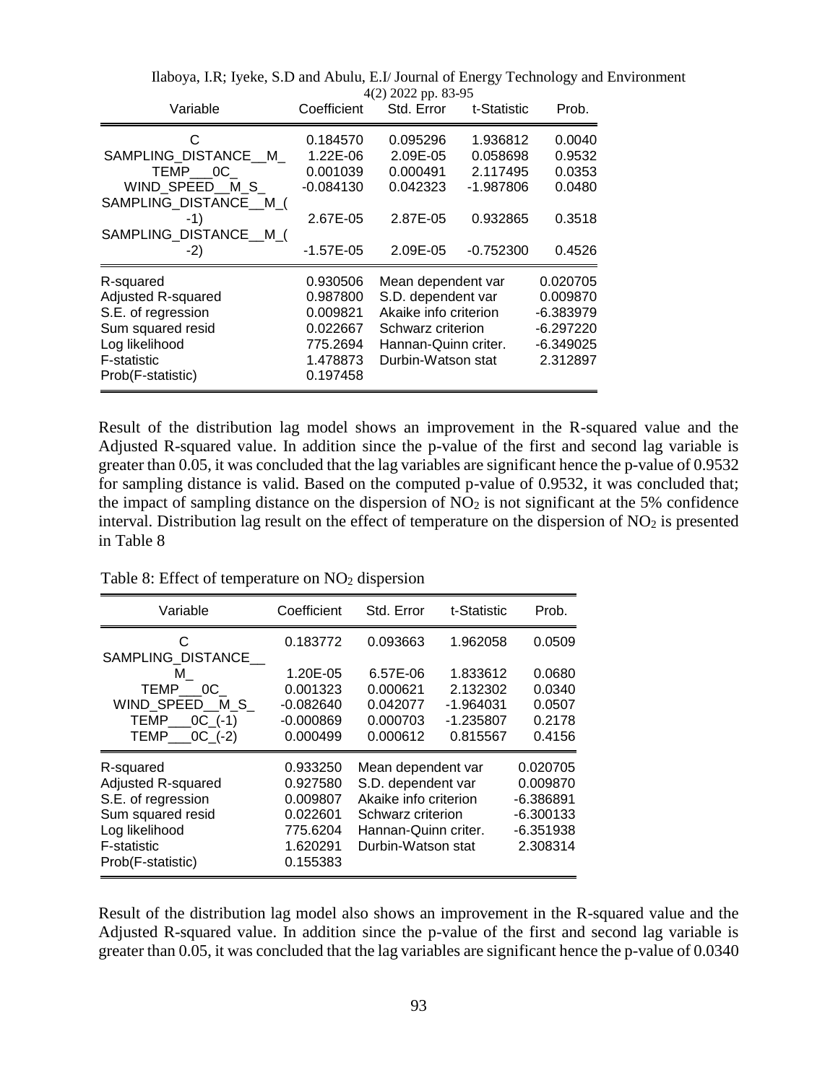| Variable               | Coefficient | $T(\omega)$ $\omega$ $\omega$ $\omega$ $\mu$ , $\omega$ $\omega$ - $\omega$<br>Std. Error | t-Statistic | Prob.       |
|------------------------|-------------|-------------------------------------------------------------------------------------------|-------------|-------------|
| C                      | 0.184570    | 0.095296                                                                                  | 1.936812    | 0.0040      |
| SAMPLING DISTANCE M    | 1.22E-06    | 2.09E-05                                                                                  | 0.058698    | 0.9532      |
| TEMP 0C                | 0.001039    | 0.000491                                                                                  | 2.117495    | 0.0353      |
| WIND SPEED M S         | $-0.084130$ | 0.042323                                                                                  | -1.987806   | 0.0480      |
| SAMPLING_DISTANCE__M_( |             |                                                                                           |             |             |
| -1)                    | 2.67E-05    | 2.87E-05                                                                                  | 0.932865    | 0.3518      |
| SAMPLING_DISTANCE__M_( |             |                                                                                           |             |             |
| $-2)$                  | $-1.57E-05$ | 2.09E-05                                                                                  | $-0.752300$ | 0.4526      |
| R-squared              | 0.930506    | Mean dependent var                                                                        |             | 0.020705    |
| Adjusted R-squared     | 0.987800    | S.D. dependent var                                                                        | 0.009870    |             |
| S.E. of regression     | 0.009821    | Akaike info criterion                                                                     |             | -6.383979   |
| Sum squared resid      | 0.022667    | Schwarz criterion                                                                         |             | $-6.297220$ |
| Log likelihood         | 775.2694    | Hannan-Quinn criter.                                                                      |             | -6.349025   |
| <b>F-statistic</b>     | 1.478873    | Durbin-Watson stat                                                                        | 2.312897    |             |
| Prob(F-statistic)      | 0.197458    |                                                                                           |             |             |

Result of the distribution lag model shows an improvement in the R-squared value and the Adjusted R-squared value. In addition since the p-value of the first and second lag variable is greater than 0.05, it was concluded that the lag variables are significant hence the p-value of 0.9532 for sampling distance is valid. Based on the computed p-value of 0.9532, it was concluded that; the impact of sampling distance on the dispersion of  $NO<sub>2</sub>$  is not significant at the 5% confidence interval. Distribution lag result on the effect of temperature on the dispersion of  $NO<sub>2</sub>$  is presented in Table 8

| Table 8: Effect of temperature on NO <sub>2</sub> dispersion |  |  |
|--------------------------------------------------------------|--|--|
|--------------------------------------------------------------|--|--|

| Variable                                 | Coefficient             | Std. Error                                                        | t-Statistic             | Prob.                   |
|------------------------------------------|-------------------------|-------------------------------------------------------------------|-------------------------|-------------------------|
| C.<br>SAMPLING DISTANCE                  | 0.183772                | 0.093663                                                          | 1.962058                | 0.0509                  |
| M<br>TEMP 0C                             | 1.20E-05<br>0.001323    | 6.57E-06<br>0.000621                                              | 1.833612<br>2.132302    | 0.0680<br>0.0340        |
| WIND SPEED M S                           | $-0.082640$             | 0.042077                                                          | $-1.964031$             | 0.0507                  |
| TEMP $OC$ (-1)<br>$TEMP$ $OC$ $(-2)$     | $-0.000869$<br>0.000499 | 0.000703<br>0.000612                                              | $-1.235807$<br>0.815567 | 0.2178<br>0.4156        |
| R-squared                                | 0.933250                | Mean dependent var<br>S.D. dependent var<br>Akaike info criterion |                         | 0.020705                |
| Adjusted R-squared<br>S.E. of regression | 0.927580<br>0.009807    |                                                                   |                         | 0.009870<br>-6.386891   |
| Sum squared resid                        | 0.022601                | Schwarz criterion                                                 |                         | $-6.300133$             |
| Log likelihood<br>F-statistic            | 775.6204<br>1.620291    | Hannan-Quinn criter.<br>Durbin-Watson stat                        |                         | $-6.351938$<br>2.308314 |
| Prob(F-statistic)                        | 0.155383                |                                                                   |                         |                         |

Result of the distribution lag model also shows an improvement in the R-squared value and the Adjusted R-squared value. In addition since the p-value of the first and second lag variable is greater than 0.05, it was concluded that the lag variables are significant hence the p-value of 0.0340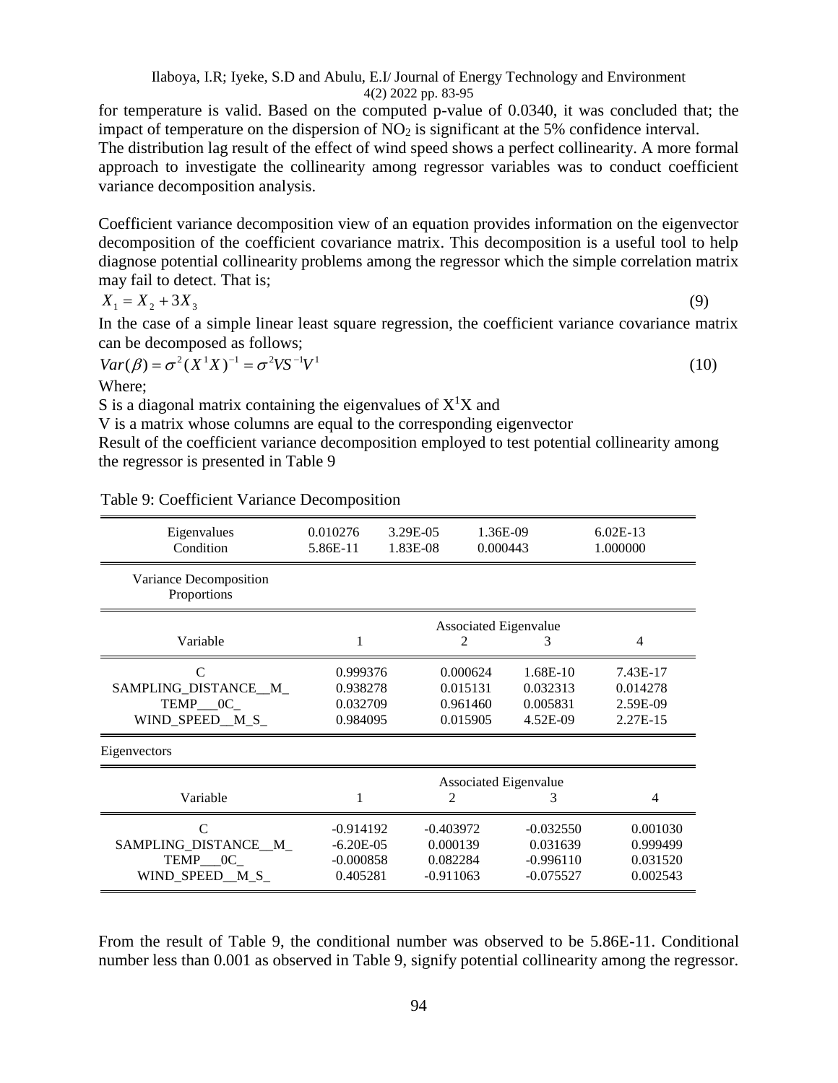94

Ilaboya, I.R; Iyeke, S.D and Abulu, E.I/ Journal of Energy Technology and Environment 4(2) 2022 pp. 83-95

for temperature is valid. Based on the computed p-value of 0.0340, it was concluded that; the impact of temperature on the dispersion of  $NO<sub>2</sub>$  is significant at the 5% confidence interval. The distribution lag result of the effect of wind speed shows a perfect collinearity. A more formal

approach to investigate the collinearity among regressor variables was to conduct coefficient variance decomposition analysis.

Coefficient variance decomposition view of an equation provides information on the eigenvector decomposition of the coefficient covariance matrix. This decomposition is a useful tool to help diagnose potential collinearity problems among the regressor which the simple correlation matrix may fail to detect. That is;

$$
X_1 = X_2 + 3X_3
$$

In the case of a simple linear least square regression, the coefficient variance covariance matrix can be decomposed as follows;

$$
Var(\beta) = \sigma^2 (X^1 X)^{-1} = \sigma^2 V S^{-1} V^1
$$

Where;

S is a diagonal matrix containing the eigenvalues of  $X<sup>1</sup>X$  and

V is a matrix whose columns are equal to the corresponding eigenvector

Result of the coefficient variance decomposition employed to test potential collinearity among the regressor is presented in Table 9

| Eigenvalues<br>Condition              | 0.010276<br>5.86E-11  | 3.29E-05<br>1.83E-08 | 1.36E-09<br>0.000443 |             | $6.02E-13$<br>1.000000 |  |
|---------------------------------------|-----------------------|----------------------|----------------------|-------------|------------------------|--|
| Variance Decomposition<br>Proportions |                       |                      |                      |             |                        |  |
|                                       | Associated Eigenvalue |                      |                      |             |                        |  |
| Variable                              |                       |                      | $\mathfrak{D}$       | 3           | 4                      |  |
| $\mathcal{C}$                         | 0.999376              |                      | 0.000624             | $1.68E-10$  | 7.43E-17               |  |
| SAMPLING_DISTANCE_M_                  | 0.938278              |                      | 0.015131             | 0.032313    | 0.014278               |  |
| TEMP 0C                               | 0.032709              |                      | 0.961460             | 0.005831    | 2.59E-09               |  |
| WIND SPEED M S                        | 0.984095              |                      | 0.015905             | 4.52E-09    | 2.27E-15               |  |
| Eigenvectors                          |                       |                      |                      |             |                        |  |
|                                       | Associated Eigenvalue |                      |                      |             |                        |  |
| Variable                              |                       |                      | 2                    | 3           | $\overline{4}$         |  |
| $\mathcal{C}$                         | $-0.914192$           |                      | $-0.403972$          | $-0.032550$ | 0.001030               |  |
| SAMPLING DISTANCE M                   | $-6.20E - 05$         |                      | 0.000139             | 0.031639    | 0.999499               |  |
| TEMP___0C_                            | $-0.000858$           |                      | 0.082284             | $-0.996110$ | 0.031520               |  |
| WIND_SPEED_M_S_                       | 0.405281              |                      | $-0.911063$          | $-0.075527$ | 0.002543               |  |

Table 9: Coefficient Variance Decomposition

From the result of Table 9, the conditional number was observed to be 5.86E-11. Conditional number less than 0.001 as observed in Table 9, signify potential collinearity among the regressor.

(9)

(10)